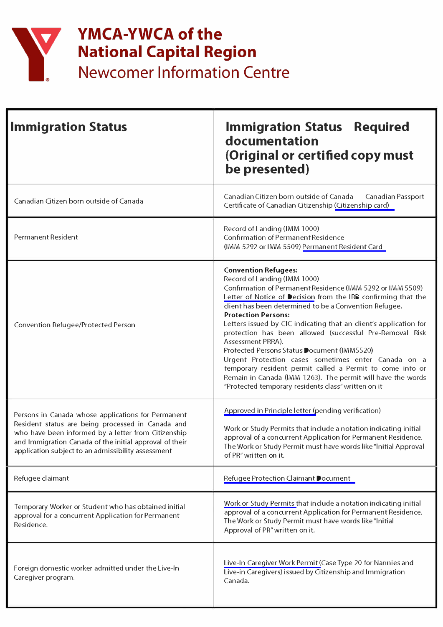

## **YMCA-YWCA of the National Capital Region**

**Newcomer Information Centre** 

| <b>Immigration Status</b>                                                                                                                                                                                                                                                       | <b>Immigration Status</b><br><b>Required</b><br>documentation<br>(Original or certified copy must<br>be presented)                                                                                                                                                                                                                                                                                                                                                                                                                                                                                                                                                                                                                |
|---------------------------------------------------------------------------------------------------------------------------------------------------------------------------------------------------------------------------------------------------------------------------------|-----------------------------------------------------------------------------------------------------------------------------------------------------------------------------------------------------------------------------------------------------------------------------------------------------------------------------------------------------------------------------------------------------------------------------------------------------------------------------------------------------------------------------------------------------------------------------------------------------------------------------------------------------------------------------------------------------------------------------------|
| Canadian Citizen born outside of Canada                                                                                                                                                                                                                                         | Canadian Citizen born outside of Canada<br>Canadian Passport<br>Certificate of Canadian Citizenship (Citizenship card)                                                                                                                                                                                                                                                                                                                                                                                                                                                                                                                                                                                                            |
| Permanent Resident                                                                                                                                                                                                                                                              | Record of Landing (IMM 1000)<br>Confirmation of Permanent Residence<br>(IMM 5292 or IMM 5509) Permanent Resident Card                                                                                                                                                                                                                                                                                                                                                                                                                                                                                                                                                                                                             |
| Convention Refugee/Protected Person                                                                                                                                                                                                                                             | <b>Convention Refugees:</b><br>Record of Landing (IMM 1000)<br>Confirmation of Permanent Residence (IMM 5292 or IMM 5509)<br>Letter of Notice of Decision from the IRB confirming that the<br>client has been determined to be a Convention Refugee.<br><b>Protection Persons:</b><br>Letters issued by CIC indicating that an client's application for<br>protection has been allowed (successful Pre-Removal Risk<br>Assessment PRRA).<br>Protected Persons Status Document (IMM5520)<br>Urgent Protection cases sometimes enter Canada on a<br>temporary resident permit called a Permit to come into or<br>Remain in Canada (IMM 1263). The permit will have the words<br>"Protected temporary residents class" written on it |
| Persons in Canada whose applications for Permanent<br>Resident status are being processed in Canada and<br>who have been informed by a letter from Citizenship<br>and Immigration Canada of the initial approval of their<br>application subject to an admissibility assessment | Approved in Principle letter (pending verification)<br>Work or Study Permits that include a notation indicating initial<br>approval of a concurrent Application for Permanent Residence.<br>The Work or Study Permit must have words like "Initial Approval<br>of PR" written on it.                                                                                                                                                                                                                                                                                                                                                                                                                                              |
| Refugee claimant                                                                                                                                                                                                                                                                | Refugee Protection Claimant Document                                                                                                                                                                                                                                                                                                                                                                                                                                                                                                                                                                                                                                                                                              |
| Temporary Worker or Student who has obtained initial<br>approval for a concurrent Application for Permanent<br>Residence.                                                                                                                                                       | Work or Study Permits that include a notation indicating initial<br>approval of a concurrent Application for Permanent Residence.<br>The Work or Study Permit must have words like "Initial<br>Approval of PR" written on it.                                                                                                                                                                                                                                                                                                                                                                                                                                                                                                     |
| Foreign domestic worker admitted under the Live-In<br>Caregiver program.                                                                                                                                                                                                        | Live-In Caregiver Work Permit (Case Type 20 for Nannies and<br>Live-in Caregivers) issued by Citizenship and Immigration<br>Canada.                                                                                                                                                                                                                                                                                                                                                                                                                                                                                                                                                                                               |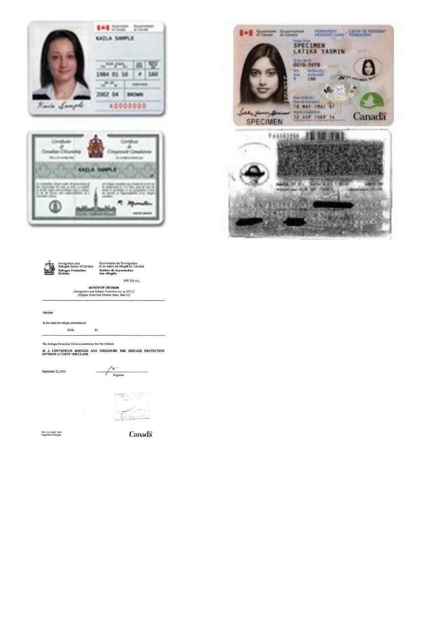







NOTICE OF DECISION<br>
[Immigration and Refugee Protection Act, 22.107(1)]<br>
[Refugee Protection Division Rules, Rule 61]

Member

In the claim for refugee protection of:  $\begin{minipage}[c]{0.9\linewidth} \begin{tabular}{l} \multicolumn{2}{c} {\bf DOB:} \end{tabular} \end{minipage} \begin{minipage}[c]{0.9\linewidth} \begin{tabular}{l} \multicolumn{2}{c} {\bf ID:} \end{tabular} \end{minipage} \end{minipage} \begin{minipage}[c]{0.9\linewidth} \end{minipage} \vspace{0.00002} \begin{minipage}[c]{0.9\linewidth} \begin{tabular}{l} \multicolumn{2}{c} {\bf ID:} \end{tabular} \end{minipage} \end{minipage} \begin{minipage}[c]{0.9\linewidth} \begin{tabular}{$ 

The Refugee Protection Division determines that the claimant

IS A CONVENTION REFUGEE AND THEREFORE THE REFUGEE PROTECTION DIVISION ACCEPTS THE CLAIM.



RPD.15.2 (April 7602)<br>Disposible on finaguis

Canada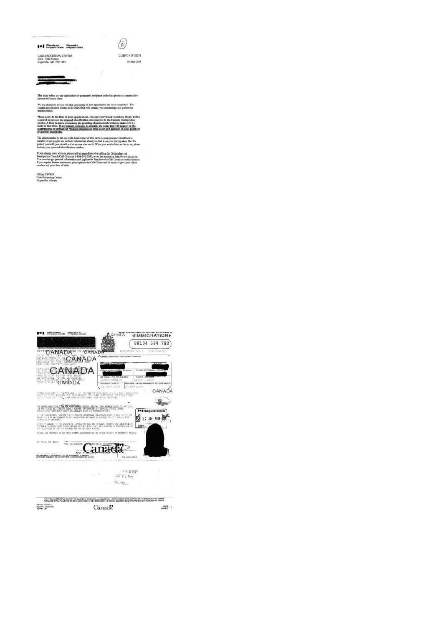## **T+1** Stevenig and .... Shapened at ...



**CASE PROCESSING CENTRE**<br>6212 - 55th Avenue<br>Vegreville, AB 79C 1W5

CLENT # 59120271 04 May 2011

This lotter reflex to your application for parametent residence under the spouse or co partner in Canada class. on bis

We are pleased to advise you that processing of your application has been completed. The Capada funnity<br>nice the ETOBICOKE will connect you concerning your permanent

---f your appearancest, you and your family members, if any, will<br>figinal identification document(s) to the Canada Insulgration<br>mecrining the granting of permanent residence states will be<br>massed regidence is granting. He nam ecision<br>r. <u>If p</u>s

et number in the top<br>; it lets people see an<br>courself, you nhould icat pum<br>sr; it lets people<br>self, you s d this lotter is your personal identification<br>boot you that is on your immigration file. To<br>use it. When you uned a letter or fax to us, al

age your address, please tall us immediately by calling the Citizens<br>a Canada Call Centre at 1-888-242-2100, or on the internet at latter<br>so tax parameter information and application kits from the Call Costs<br>to threthe ass

Officer CWW/F<br>Case Processing Centre<br>Vegroville, Alberta